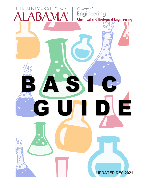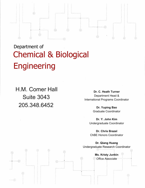# Department of Chemical & Biological **Engineering**

•

•

H.M. Comer Hall Suite 3043 205.348.6452

•

**Dr. C. Heath Turner** Department Head & International Programs Coordinator

> **Dr. Yuping Bao** Graduate Coordinator

**Dr. Y. John Kim** Undergraduate Coordinator

**Dr. Chris Brazel** ChBE Honors Coordinator

**Dr. Qiang Huang** Undergraduate Research Coordinator

> **Ms. Kristy Junkin** Office Associate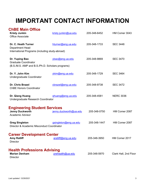# **IMPORTANT CONTACT INFORMATION**

| <b>ChBE Main Office</b><br><b>Kristy Junkin</b><br><b>Office Associate</b>                        | kristy.junkin@ua.edu   | 205-348-6452 | HM Comer 3043         |
|---------------------------------------------------------------------------------------------------|------------------------|--------------|-----------------------|
| Dr. C. Heath Turner<br><b>Department Head</b><br>International Programs (including study-abroad)  | hturner@eng.ua.edu     | 205-348-1733 | <b>SEC 3448</b>       |
| Dr. Yuping Bao<br><b>Graduate Coordinator</b><br>(B.S./M.S. AMP and B.S./Ph.D. Scholars programs) | ybao@eng.ua.edu        | 205-348-9869 | <b>SEC 3470</b>       |
| Dr. Y. John Kim<br>Undergraduate Coordinator                                                      | ykim@eng.ua.edu        | 205-348-1729 | <b>SEC 3464</b>       |
| <b>Dr. Chris Brazel</b><br><b>ChBE Honors Coordinator</b>                                         | cbrazel@eng.ua.edu     | 205-348-9738 | <b>SEC 3472</b>       |
| Dr. Qiang Huang<br>Undergraduate Research Coordinator                                             | ghuang@eng.ua.edu      | 205-348-4581 | <b>NERC 3036</b>      |
| <b>Engineering Student Services</b><br><b>Jenny Duckworth</b><br><b>Academic Advisor</b>          | jenny.duckworth@ua.edu | 205-348-0750 | HM Comer 2087         |
| <b>Greg Singleton</b><br>Director & Academic Misconduct Coordinator                               | gsingleton@eng.ua.edu  | 205-348-1447 | HM Comer 2087         |
| <b>Career Development Center</b><br><b>Amy Ratliff</b><br><b>Director</b>                         | aratliff@eng.ua.edu    | 205-348-3950 | HM Comer 2017         |
| <b>Health Professions Advising</b><br><b>Marian Denham</b><br><b>Director</b>                     | prehealth@ua.edu       | 205-348-5970 | Clark Hall, 2nd Floor |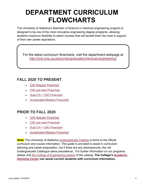# **DEPARTMENT CURRICULUM FLOWCHARTS**

The University of Alabama's Bachelor of Science in chemical engineering program is designed to be one of the most innovative engineering degree programs, allowing students maximum flexibility to select courses that will benefit them the most in support of their own career aspirations.

For the latest curriculum flowcharts, visit the department webpage at <http://che.eng.ua.edu/undergraduate/chemical-engineering/>

## **FALL 2020 TO PRESENT**

- [ChE Regular Flowchart](https://eng.ua.edu/wp-content/uploads/2020/05/ChBE-Flow-Charts-2020-01-12-REGULAR-Fall-2020.pdf)
- [ChE pre-med Flowchart](https://eng.ua.edu/wp-content/uploads/2020/05/ChBE-Flow-Charts-2020-01-12-PRE-MED-Fall-2020.pdf)
- [Dual CH + ChE Flowchart](https://eng.ua.edu/wp-content/uploads/2020/05/ChBE-Flow-Charts-2020-01-12-DUAL-Fall-2020.pdf)
- [Accelerated Masters](https://eng.ua.edu/wp-content/uploads/2020/05/ChBE-Flow-Charts-2020-01-12-ACCELERATED-Fall-2020.pdf) Flowchart

## **PRIOR TO FALL 2020**

- ChE [Regular Flowchart](http://che.eng.ua.edu/files/2019/05/fall-2019-CHE-regular-flowchart.pdf)
- [ChE pre-med Flowchart](http://che.eng.ua.edu/files/2019/05/fall-2019-CHE-pre-med-flowchart_4-16-2019.pdf)
- [Dual CH + ChE Flowchart](http://che.eng.ua.edu/files/2019/05/fall-2019-CHE-CH-dual-degree-flowchart_4-16-2019.pdf)
- [Accelerated Masters](http://che.eng.ua.edu/files/2019/05/fall-2019-CHE-AMP-flowchart_4-16-2019.pdf) Flowchart

*Note:* The University of Alabama [Undergraduate Catalog](https://catalog.ua.edu/) is home to the official curriculum and course information. This guide is provided to assist in curriculum planning and career preparation, but if there are any discrepancies, the UA Undergraduate Catalogue takes precedence. For further information on our programs, please visit [the College of Engineering section](https://catalog.ua.edu/undergraduate/engineering/) of the catalog. **The College's [Academic](http://students.eng.ua.edu/advising/)  [Advising Center](http://students.eng.ua.edu/advising/) can assist current students with curriculum information.**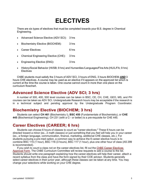# **ELECTIVES**

There are six types of electives that must be completed towards your B.S. degree in Chemical Engineering.

- Advanced Science Elective (ADV SCI): 3 hrs
- Biochemistry Elective (BIOCHEM): 3 hrs
- Career Electives: 6 hrs
- Chemical Engineering Elective (CHE): 3 hrs
- Engineering Elective (ENG): 3 hrs
- History/Social Behavior (HI/SB; 9 hrs) and Humanities /Languages/FineArts (HU/L/FA; 9 hrs) **Electives**

ChBE students must satisfy the 3 hours of ADV SCI, 3 hours of ENG, 3 hours BIOCHEM *AND* 3 hours CHE electives. A course may be used as an elective if it appears on the approved list which is current at the time the course is taken. One course cannot count in more than one place on the curriculum flowchart.

## **Advanced Science Elective (ADV SCI; 3 hrs)**

A number of 300, 400, 500 level courses can be taken in BSC, CE, CH, CHE, GEO, MS, and PH courses can be taken as ADV SCI. Undergraduate Research hours may be acceptable if the research is in a technical subject and pending approval by the Undergraduate Program Coordinator.

## **Biochemistry Elective (BIOCHEM; 3 hrs)**

Students can select **CH 461** (Biochemistry I), **BSC 450** (Fundamentals of Biochemistry), or **CHE 445** (Biochemical Engineering). CH 231 (with a C− or better) is a pre-requisite for CHE 445.

## **Career Electives (CAREER; 6 hrs)**

Students can choose 6 hours of classes to count as "career electives." These 6 hours can be directed toward a minor (ex., 2 math classes) or just something that you feel will help you in your career (ex., a foreign language, communication, finance, marketing, additional CHE classes, etc.). For students pursuing a pre-med option, a common way to achieve the 6 career elective hours is to combine BSC 115 (1 hour), BSC 116 (3 hours), BSC 117 (1 hour), plus one other hour of class (AS 299 is recommended).

If you wish to count a class not on the career electives list, fill out the [ChBE Career Electives](http://che.eng.ua.edu/files/2017/01/Career-Electives-Approval-Form-January-2017.pdf)  [Approval Form.](http://che.eng.ua.edu/files/2017/01/Career-Electives-Approval-Form-January-2017.pdf) The ChBE Curriculum Committee will review requests to add a course to the list. Students should write one paragraph explaining how the career electives will help their career, attach a recent syllabus from the class and have the form signed by their COE advisor. Students generally select career electives in their junior year, although these classes can be taken at any time. You may change your selections while working on your CHE degree.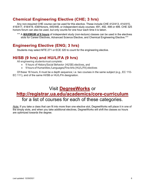## **Chemical Engineering Elective (CHE; 3 hrs)**

Any non-required CHE course can be used for this elective. These include CHE 412/413, 414/415, 416/417, 418/419, 438/Honors, 445/446, or independent study courses: 491, 492, 498 or 499. CHE 325 honors forum can also be used, but only counts for one hour each time it is taken.

\*\*\* A *MAXIMUM of 6 hours* of independent study (non-lecture) classes can be used in the electives slots for Career Electives, Advanced Science Elective, and Chemical Engineering Elective.\*\*\*

## **Engineering Elective (ENG; 3 hrs)**

Students may select MTE 271 or ECE 320 to count for the engineering elective.

## **HI/SB (9 hrs) and HU/L/FA (9 hrs)**

All engineering students must complete:

- 9 hours of History/Social Behavior (HI/SB) electives, and
- 9 hours of Humanities /Languages/Fine Arts (HU/L/FA) electives

Of these 18 hours, 6 must be a depth sequence; i.e. two courses in the same subject (e.g., EC 110- EC 111), and of the same HI/SB or HU/L/FA designation.

## Visit **[DegreeWorks](http://degreeworks.ua.edu/)** or **<http://registrar.ua.edu/academics/core-curriculum>** for a list of courses for each of these categories.

*Note:* If you take a class that can fit into more than one elective slot, DegreeWorks will place it in one of the empty slots, and when you take additional electives, DegreeWorks will shift the classes so hours are optimized towards the degree.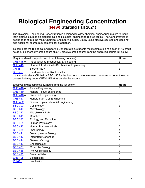## **Biological Engineering Concentration (New! Starting Fall 2021)**

The Biological Engineering Concentration is designed to allow chemical engineering majors to focus their elective courses on biochemical and biological engineering-related topics. The Concentration is designed to fit into the main Chemical Engineering curriculum by using elective courses and does not add additional course requirements for graduation.

To complete the Biological Engineering Concentration, students must complete a minimum of 15 credit hours (3 biochemistry credit hours plus 12 elective credit hours) from the approved course list below.

|                             | Required (Must complete one of the following courses) | <b>Hours</b> |
|-----------------------------|-------------------------------------------------------|--------------|
| <b>CHE 445 or</b>           | Introduction to Biochemical Engineering               |              |
| <b>CHE 446</b>              | Honors Introduction to Biochemical Engineering        |              |
| <b>CH 461</b>               | <b>Biochemistry I</b>                                 |              |
| <b>BSC 450</b>              | <b>Fundamentals of Biochemistry</b>                   |              |
| $\mathbf{r}$ , $\mathbf{r}$ | $\blacksquare$ . All lais maa leaf il list            | .            |

If a student selects CH 461 or BSC 450 for the biochemistry requirement, they cannot count the other course, but may count CHE 445/446 as an elective course.

| Electives (Must complete 12 hours from the list below) |                                        | <b>Hours</b> |
|--------------------------------------------------------|----------------------------------------|--------------|
| <b>CHE 418 or</b>                                      | <b>Tissue Engineering</b>              | 3            |
| <b>CHE 419</b>                                         | <b>Honors Tissue Engineering</b>       |              |
| CHE 416 or                                             | Stem Cell Engineering                  | 3            |
| <b>CHE 417</b>                                         | Honors Stem Cell Engineering           |              |
| <b>CHE 492</b>                                         | Special Topics (Microbial Engineering) | 3            |
| <b>BSC 300</b>                                         | Cell Biology                           | 3            |
| <b>BSC 310</b>                                         | Microbiology                           | 3            |
| <b>BSC 312</b>                                         | Microbiology Lab                       |              |
| <b>BSC 315</b>                                         | <b>Genetics</b>                        | 3            |
| <b>BSC 385</b>                                         | <b>Ecology and Evolution</b>           | 3            |
| <b>BSC 424</b>                                         | Human Physiology                       | 3            |
| <b>BSC 425</b>                                         | Human Physiology Lab                   |              |
| <b>BSC 435</b>                                         | Immunology                             | 4            |
| <b>BSC 441</b>                                         | <b>Developmental Biology</b>           | 3            |
| <b>BSC 442</b>                                         | <b>Integrated Genomics</b>             |              |
| <b>BSC 444</b>                                         | <b>General Virology</b>                | 3            |
| <b>BSC 449</b>                                         | Endocrinology                          | 3            |
| <b>BSC 451</b>                                         | <b>Molecular Biology</b>               | 3            |
| <b>BSC 465</b>                                         | Prin Of Toxicology                     | 3            |
| <b>BSC 496</b>                                         | Bioremediation                         | 3            |
| <b>CHS 425</b>                                         | <b>Biostatistics</b>                   | 3            |
| <b>PH 411</b>                                          | <b>Biophysics</b>                      | 3            |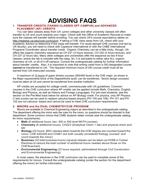## **ADVISING FAQS**

#### **1. TRANSFER CREDITS (TAKING CLASSES OFF CAMPUS) and ADVANCED PLACEMENT (AP) CREDITS**

You can take classes away from UA: junior colleges and other university classes will often transfer to UA and count towards your major. Check with the Office of Academic Records to make sure the classes will transfer before enrolling. You can check UA's course equivalency tables on [http://registrar.ua.edu/core-currlculum. I](http://registrar.ua.edu/core-currlculum.)f taking a CHE class away from UA, check with your Academic Advisor to determine if the class will transfer. For study-abroad CHE courses (not led by UA faculty), you will need to check with Capstone International or with the ChBE International Programs Coordinator about transfer credit. Organic Chemistry can be a little tricky, though. UA offers the organic chemistry sequence as CH 231 (3 hours lecture), CH 232 (3 hours lecture), and CH 237 (2 hours lab). Many other colleges and universities offer the sequence as two 4-hour classes, where the lab is included with the class. So, it is advisable to either take ALL organic chemistry at UA, or all of it off-campus. Consult the undergraduate catalog for further information about transfer credits. Also, it is important to note that writing credit from a (W)-designated course **cannot** be transferred to UA. The required minimum hours of (W) course credit must all be earned from UA-instructed courses.

A maximum of 12 hours of upper division courses (300/400 level) in the CHE major, as shown in the Major requirements block of the DegreeWorks audit, can be transferred. Senior design course(s) must be taken at UA and cannot be transferred from another institution.

AP credits are accepted for college credit, commensurate with UA guidelines. Common courses in the CHE curriculum where AP credits can be applied include Math, Chemistry, English, Biology and Physics, as well as History and Foreign Languages. For pre-med students, see the section on the Pre-Med track below for advice on AP Biology credit. For physics, only AP Physics C test scores can be used to replace calculus-based physics (PH 105 and 106). PH 101 and PH 102 are not calculus- based and cannot be used to meet CHE curriculum requirements.

#### **2. MINORS and the DUAL CHEMISTRY/CHE PROGRAM**

Minors are available to Chemical Engineering majors as described in the undergraduate catalog. The department offering the minor sets the rules for the minor, so questions should be directed to that department. Some common minors that ChBE students obtain include (see the undergraduate catalog for minor requirements):

- **Math** (6 additional hours: two- 300 or 400 level MATH courses)
- **Chemistry** (8 additional hours): CH223 (Analytical Chem + lab) and physical chem and lab
- **Biology** (22 hours; BSC classes taken towards the CHE degree are counted toward the minor; CHE 445/446 and CH461 are both usually considered"biology courses" and count towards the minor)
- **Business** (22 total business hours) (several classes can be taken as HI/SB or Career Electives to reduce the total number of additional hours needed above those on the CHEflowchart)
- **Environmental Engineering** (23 hours required; administered through Civil Construction and Environmental Engineering)

In most cases, the electives in the CHE curriculum can be used to complete some of the requirements for minors. Consult the undergraduate catalog (under the section for the department offering the minor) for further information.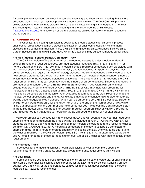A special program has been developed to combine chemistry and chemical engineering that is more advanced than a minor, yet less comprehensive than a double major. The Dual CH/CHE program allows students to earn a single diploma from UA that indicates earning a B.S. degree in Chemical Engineering with majors in chemical engineering and chemistry. See the ChBE website [\(http://che.eng.ua.edu\)](http://che.eng.ua.edu/) for a flowchart or the undergraduate catalog for more information about the DUAL program.

#### **3. CAREER PATHS**

The Chemical Engineering curriculum is designed to prepare students for careers in process engineering, product development, process optimization, or engineering design. With the many electives in the curriculum (Biochem-3 hrs, CHE-3 hrs, Engineering-3hrs, Advanced Science-3hrs, Career Electives-6hrs, and HI/SB and HU/L/FA-18hrs), students may pursue numerous career paths.

#### **Pre-Med (Medical School, Dental, Optometry) Track**

The CHE curriculum offers slots for all of the required classes to enter medical or dental school. Beyond the required courses, pre-med students must take BSC 115, 116 and 117 (or honors equivalents BSC 118/120). Most medical schools require 2 semesters each of: biology with lab, general chemistry and lab, organic chemistry and lab, calculus, English and physics. Most dental schools also require 12 hours of biology classes. Additional advanced biology courses may help prepare students for the MCAT or DAT and the rigors of medical or dental school, 3 hours-of which may fit into the Advanced Science elective slot. The 5 hours of 115-117 (beyond the CHE requirement of BSC 114) can count towards the 6 hours of career electives. Students interested in pre-med should consult the UA's **Health Professions Office** in 200 Clark Hall early in their college careers. Programs offered by UA ChBE, BMES, or AED may help with preparing for medical/dental school. Classes such as BSC 300, 310, 315 and 450, CH 461, and CHE 418 and 445 should be considered in the junior year. AS299 is recommended as well. Recent changes to medical school applications and the MCAT dictate that students consider taking biochemistry as well as psychology/sociology classes (which can be part of the core HI/SB electives). Students will generally want to prepare for the MCAT or DAT at the end of their junior year at UA, while filling out applications in the summer prior to their senior year. Medical and dental schools start in the fall semester only. For those interested in medical research, PhD or MD/PhD programs offer a career option that leads to medical R&D as opposed to clinical or hospital practice.

\*\* *Note:* AP credits can be used for many classes at UA and will count toward your B.S. degree in chemical engineering (although the grade will not be included in your UA GPA). HOWEVER, for students planning to apply to a medical school, most medical schools require the following classes be taken ON CAMPUS (i.e., not AP credit): 2 semesters of biology (plus labs); 2 semesters of chemistry (plus labs); 8 hours of organic chemistry (including the lab). One way to do this is take the classes required in the CHE curriculum, plus BSC 115,116 & 117. An alternative would be to use AP credit for some of these but take higher-level CH or BSC classes with labs to satisfy these requirements.

#### **Pre-Pharmacy Track**

See above for pre-med and contact a health professions advisor to learn more about the requirements for entering a graduate pharmacy program (entrance requirements vary widely).

#### **Pre-Law Track**

Some engineers decide to pursue law degrees, often practicing patent, corporate, or environmental law. Some Career Electives can be used to prepare for the LSAT and law school. Consult a pre-law advisor (200 Clark Hall) or the undergraduate catalog for information about preparing for a career in legal studies. AS299 is recommended.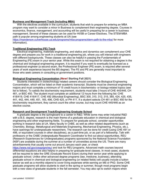#### **Business and Management Track (including MBA)**

With the electives available in the curriculum, students that wish to prepare for entering an MBA program may want to consider a minor in Business to complement their engineering degree. Courses in economics, finance, management, and accounting will be useful in preparing for a career in business management. Several of these classes can be used for HI/SB or Career Electives. The STEM-MBA path is popular among engineering students at UA (see

<https://manderson.culverhouse.ua.edu/programs/mba-programs/stem-path-to-the-mba/> for more information).

#### **Traditional Engineering (FE) Track**

Electrical engineering, materials engineering, and statics and dynamics can complement your CHE degree and prepare you for work in a traditional engineering job, where you will interact with engineers with different backgrounds. These classes can also be helpful in passing the Fundamentals of Engineering (FE) exam in your senior year. While this exam is not required for obtaining a degree in the chemical and biological engineering program, it is required if you want to eventually be licensed as a professional engineer (a second exam, the Professional Engineer (PE) exam, is required after several years of work experience beyond the BS degree). The FE and PE are generally most important to those who seek careers in consulting or government positions.

#### **Biological Engineering Concentration (New! Starting Fall 2021)**

Students interested in biotechnology-related careers should consider the Biological Engineering Concentration, which will be listed on their academic transcript. Students must be chemical engineering majors and must complete a minimum of 15 credit hours in biochemistry- or biology-related topics (see list to follow). To satisfy the biochemistry requirement, students must take 3 hours of CHE 445/446, CH 461, or BSC 450. The student must complete an additional 12 hours from the following list: CHE 418/419, CHE 416/417, CHE 492 (Microbial Engineering), BSC 300, 310, 312, 315, 385, 424, 425, 435, 441, 442, 444, 449, 451, 165, 496, CHS 425, or PH 411. If a student selects CH 461 or BSC 450 for the biochemistry requirement, they cannot count the other course, but may count CHE 445/446 as an elective course.

#### **Research and Development Track/Engineering Graduate School**

A graduate degree is the springboard to a career in R&D. While some may enter industrial R&D with a B.S. degree, research is the main theme of a graduate education in chemical and biological engineering and other engineering fields. To prepare for graduate school, consider opportunities working in research labs at UA. Many faculty in ChBE, as well as other related departments (such as Chemistry, Biology, Metallurgical and Materials Engineering, Mechanical Engineering, Physics, etc.), have openings for undergraduate researchers. The research can be done for credit (using CHE 491 or 498, or equivalent courses in other disciplines), as a part-time job, or as part of a fellowship. Talk with professors or the ChBE Undergraduate Research Coordinator to find out about opportunities. REU (Research Experiences for Undergraduates) programs sponsored by the National Science Foundation (NSF) are available during the summer at a number of universities across the US. There are many advertisements that usually come out around January each year, or check

<https://www.nsf.gov/crssprgm/reu/> and look for REU programs. Advanced math courses beyond differential equations are also helpful in preparing for graduate-level classes. In most cases, students will be required to take the GRE (Graduate Record Exam) during their senior year while applying to graduate school. Unlike other advanced degree programs (law, medicine, business), attending graduate school in chemical and biological engineering (or related fields) will usually include a tuition waiver as well as a monthly stipend to cover living expenses while earning an MS or PhD. Some CHE graduate programs will allow students to start in the spring or summer, though most programs begin with a new class of graduate students in the fall semester. You may also opt to switch majors when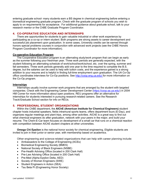entering graduate school- many students earn a BS degree in chemical engineering before entering a biomedical engineering graduate program. Check with the graduate program of schools you wish to apply to on requirements for acceptance. For additional guidance about graduate school, talk to your research mentor or the ChBE Graduate Program Coordinator.

#### **4. CO-OPERATIVE EDUCATION AND INTERNSHIPS**

There are opportunities for students to gain valuable industrial or other work experience by participating as a co-op or intern student. Both programs are strong assets to career development and successful job placement upon graduation. In some cases, University credits can be earned through honors special problems courses in conjunction with advanced work projects (see the ChBE Honors Program Coordinator for more information).

#### **Co-operative Education Program**

The Cooperative Education program is an alternating study/work program that can begin as early as the summer following your freshman year. Three work periods are generally expected, with the student following an alternating schedule of work/school/work/school, etc. over the spring, summer and fall semesters. Three work periods generally add one year to the time required to complete the B.S. degree, but the salaries can be used to help with tuition costs, and the experience gained is a strong addition to your resume and is helpful in finding full-time employment upon graduation. The UA Co-Op office coordinates interviews for Co-Op positions. See [http://coop.eng.ua.edu/ f](http://coop.eng.ua.edu/)or more information on the Co-Op program.

#### **Internships**

Internships usually involve summer work programs that are arranged by the student with targeted companies. Check with the Engineering Career Development Center [\(https://coop.sa.ua.edu/\)](https://coop.sa.ua.edu/) in 2004 HM Comer for more information about open positions. REU programs offer an alternative for internships for students interested in pursuing research-related careers. See the Research Track/Graduate School section for info on REUs.

#### **5. PROFESSIONAL STUDENT ORGANIZATIONS**

Within the ChBE department, the **AIChE (American Institute for Chemical Engineers)** student chapter hosts industrial speakers, fields intramural sports teams, offers department tours (E-Day), and organizes regular meetings and plant trips, among other activities. AIChE is a great way to find out what chemical engineers do after graduation, network with your peers in the major, and build your resume. The Chem-E-Car team focuses on development of a small car that runs on a chemical reaction with competition between AIChE student chapters at other universities.

**Omega Chi Epsilon** is the national honor society for chemical engineering. Eligible students are invited to join in their junior or senior year, with membership based on academics.

Other engineering and science-related organizations that can help with career planning include:

- Ambassadors to the College of Engineering (ACEs)
- Biomedical Engineering Society (BMES)
- National Society of Black Engineers (NSBE)
- Pre-Health Advising Office (located in 200 Clark Hall)
- Pre-Law Advising Office (located in 200 Clark Hall)
- Pre-Med (Alpha Epsilon Delta, AED)
- Society of Women Engineers (SWE)
- Student Engineers in Action (SEA)
- Tau Beta Pi (Engineering Honor Society)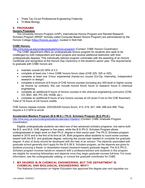- Theta Tau Co-ed Professional Engineering Fraternity
- Tri-Beta Biology

#### **6. PROGRAMS**

#### **Honors Programs**

The University Honors Program (UHP), International Honors Program and Randall Research Scholars Program (RRSP; formally called Computer-Based Honors Program) are administered by the Honors College [\(https://honors.ua.edu/\)](https://honors.ua.edu/), located in Nott Hall.

#### **ChBE Honors**

<http://che.eng.ua.edu/undergraduate/honors-program/> (Contact: ChBE Honors Coordinator)

The ChBE department offers an undergraduate honors program for students who seek to be challenged by both independent and team projects and receive additional distinction with their undergraduate degrees. This individually tailored program culminates with the awarding of an Honors Certificate and recognition at the Honors Day Ceremony in the student's senior year. The requirements to graduate with ChBE honors are:

- maintain overall UA GPA of 3.3
- complete at least one 1-hour ChBE honors forum class (CHE 225, 325 or 425)
- complete at least one 3-hour experiential (hands-on) course (Co-Op, Internship, Independent research or design)
- complete a minimum of 6 hours of CHE honors courses (including any 300-level or higher course as honors by contract); this can include honors forum hours or research hours in chemical engineering
- complete an additional 6 hours of honors courses in the chemical engineering curriculum (CHE, CH, BSC, MA, PH, EN, HI/SB, etc.)

• complete an additional 6 hours of any honors courses at UA (even if not on the CHE flowchart) Total of 18 hours of UA honors credits.

CHE honors classes include: 225/325/425 honors forum, 413, 419, 441, 446, 498 and 499. They require a 3.3 GPA to enroll.

#### **Accelerated Masters Program (B.S./M.S.) / Ph.D. Scholars Program (B.S./Ph.D.)**

<http://che.eng.ua.edu/undergraduate/accelerated-masters/> (Contact: ChBE Graduate Program Coordinator)

Eligible undergraduate students can elect one of two advanced scholars programs: one earns both the B.S. and M.S. CHE degrees in five years, while the B.S./Ph.D. Scholars Program allows undergraduates to begin work on their Ph.D. degree in their senior year. The Ph.D. Scholars program started in 2015 and is the first of its kind at UA. Both programs allow students to count some courses toward both the B.S. and graduate degree, reducing the course load needed to complete the graduate degree. A plan of study should be developed with the help of an advisor. The stipends associated with graduate school generally don't apply for the B.S./M.S. Scholars program, as the stipends are given to students pursuing a thesis- or dissertation-based (research-based) graduate degree. The B.S./Ph.D. Scholars program involves hands-on research with a professor/advisor and students in this program are eligible for receiving fellowships and stipends once they begin graduate courses full-time. For more information, see the undergraduate catalog, or consult the graduate coordinator for ChBE.

#### **7. MY DEGREE IS IN CHEMICAL ENGINEERING, BUT THE DEPARTMENT IS CHEMICAL AND BIOLOGICAL ENGINEERING. WHY?**

The Alabama Commission on Higher Education has approved the degree plan and regulates our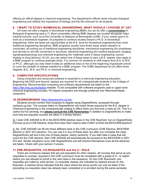offering an official degree in chemical engineering. The department's official name includes biological engineering and reflects the importance of biology and the life sciences for all students.

#### **8. I WANT TO STUDY BIOMEDICAL ENGINEERING. WHAT SHOULD I CHOOSE AT UA?**

UA does not offer a degree in biomedical engineering (BME), but we do offer a *concentration* in Biological Engineering (see p.7). Most universities offering BME degrees are located alongside major medical schools, such as at the University of Alabama at Birmingham (UAB). If your career goal is to work as a biomedical engineer, be prepared to continue studies toward a Ph.D. in biomedical engineering- there are fewer job opportunities at the B.S. level for biomedical engineering than most traditional engineering disciplines. BME programs usually have three areas where research is conducted, all coming out of traditional engineering disciplines: mechanical engineering (for prostheses and devices to aid with movement or structure), electrical engineering (for medical equipment, imaging, signaling/biosensing) and chemical engineering (for materials used in tissue engineering, wound healing or drug delivery). At UA, you can select one of these areas to earn a B.S. degree, then apply to a BME program to continue graduate study. It is common for students to shift majors from B.S. to M.S. or Ph.D., although you may need to take an additional class or two at the beginning of graduate school to cover the breadth of classes needed for a BME program. The ChBE department at UA offers three degrees: B.S., M.S. and Ph.D. in chemical engineering.

#### **9. COMPUTER SPECIFICATIONS**

Using computers and advanced software is essential to a chemical engineering education. Beginning fall 2020 and beyond, laptops are required for all undergraduate students in the College of Engineering. Recommended computing and software requirements are listed on the <https://ites.eng.ua.edu/laptop> website. To be compatible with software programs used in upper level chemical engineering courses, PC-based computers are strongly preferred over Macintosh/Apple computers.

#### **10.DEGREEWORKS** [https:/degreeworks.ua.edu](https://degreeworks.ua.edu/)

Students should monitor their progress to degree using DegreeWorks, accessed through mybama.ua.edu. The courses listed on DegreeWorks will match those required for the B.S. degree in Chemical Engineering in the undergraduate catalog in effect when you first took a class at UA. This is a useful tool for advising, but **please consult the CHE flowchart(s)** in addition to DegreeWorks to make sure that pre-requisite courses are taken in a timely fashion.

*Q.* I took CHE 445/446 to fill in the BIOCHEM elective class in the CHE flowchart, but on DegreeWorks it shows up as a CHE Elective. Does that mean that I need to take CH461 to finish the BIOCHEM elective?

*A.* No. CHE 445/446 can fill into three different slots in the CHE curriculum (CHE Elective, BIOCHEM elective or ADV SCI elective). You can use it in any of these slots, but after you complete the class DegreeWorks will slot it into one of these places, nearly randomly. If you later take a class that will count for the CHE elective, then CHE 445/446 will automatically be bumped to the BIOCHEM or ADV SCI slot. Similar situations occur with DegreeWorks and will resolve themselves once all the electives are taken. Check with your advisor if unsure.

#### **11.PRE-REQUISITES, CO-REQUISITES and the C− RULE**

There are numerous classes that are pre-requisites for other classes. All courses that serve as prerequisites to courses, required in the CHE curriculum must be completed with a grade of C− or higher before you are allowed to enroll in the next class in the sequence. On the CHE flowcharts, prerequisites are noted by solid arrows. Co-requisite classes are indicated by dashed arrows on the flowchart. A dashed arrow indicates that the class where the arrow points can only be taken if the preceding (co-requisite) class has already been completed or is enrolled during the same semester.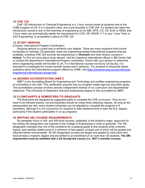#### **12.CHE 125**

CHE 125 Introduction to Chemical Engineering is a 1-hour course aimed at students new to the ChBE program at UA. It is a required class, and a pre-requisite to CHE 254. If a student has taken the introductory course to any of the branches of engineering at UA (ME, MTE, CS, CE, ECE or AEM), that 1-hour class can automatically satisfy the requirement for CHE 125. ENGR 111 or any 1 hour "Intro to XXX Engineering" is acceptable in place of CHE 125.

#### **13.STUDY ABROAD**

#### (Contact: International Program Coordinator)

Studying abroad is a great way to enhance your degree. There are many programs that involve humanities or histories. Occasionally, there are engineering-related international programs that are available, including CHE 323 summer lab experiences in **Denmark** and other lecture courses in **Ireland**. To find out more about study abroad, visit the Capstone International offices in BB Comer Hall or contact the department's International Program coordinator. Check with your advisor to determine which engineering credits will transfer to UA. For international courses not led by UA faculty, it is important to investigate the course transfer issues well in advance. For answers to frequently asked questions about the international program offered by ChBE, visit [https://students.eng.ua.edu/chemical](https://students.eng.ua.edu/chemical-engineering-international-courses-faq/)[engineering-international-courses-faq/.](https://students.eng.ua.edu/chemical-engineering-international-courses-faq/)

#### **14.DEGREE ACCREDITATION (ABET)**

ABET is the Accrediting Board for Engineering and Technology and certifies engineering programs at universities in the USA. This certification ensures that our program meets rigorous education goals. The accreditation process involves periodic independent reviews of our curriculum and departmental objectives. The University of Alabama's chemical engineering degree is fully accredited by ABET.

#### **15.FLOWCHARTS & SEMESTERS TO GRADUATE**

The flowcharts are designed as suggested paths to complete the CHE curriculum. They do not have to be followed exactly, but pre-requisites should be noted when selecting classes. As long as the prerequisites are met, many student schedules can be adjusted to complete the program in 8 semesters, although it is not uncommon for students to take additional time to earn the B.S. degree, particularly if the student participates in co-op programs.

#### **16.WRITING (W) COURSE REQUIREMENTS**

Six semester hours in 300- and 400-level courses, preferably in the student's major, approved for the writing (W) designation are required in the College of Engineering in order to graduate. The (W) designation indicates that one of the conditions for a passing grade is that students write coherent, logical, and carefully edited prose in a minimum of two papers, at least one of which will be graded and returned before mid-semester. All (W) designated courses are taught and graded by instructors who have at least a master's degree and are limited to an enrollment of no more than 35 students. **The (W) requirement must be satisfied with a UA faculty-led course (i.e., NOT a transfer course).**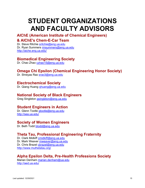# **STUDENT ORGANIZATIONS AND FACULTY ADVISORS AIChE (American Institute of Chemical Engineers)**

# **& AIChE's Chem-E-Car Team**

Dr. Steve Ritchie [sritchie@eng.ua.edu](mailto:sritchie@eng.ua.edu) Dr. Ryan Summers [rmsummers@eng.ua.edu](mailto:rmsummers@eng.ua.edu) <http://aiche.eng.ua.edu/>

## **Biomedical Engineering Society**

Dr. Chao Zhao [czhao15@eng.ua.edu](mailto:czhao15@eng.ua.edu)

## **Omega Chi Epsilon (Chemical Engineering Honor Society)**

Dr. Shreyas Rao [srao3@eng.ua.edu](mailto:srao3@eng.ua.edu)

## **Electrochemical Society**

Dr. Qiang Huang **qhuang@eng.ua.edu** 

## **National Society of Black Engineers**

Greg Singleton [gsingleton@eng.ua.edu](mailto:gsingleton@eng.ua.edu)

## **Student Engineers in Action**

Dr. Glenn Tootle [gtootle@eng.ua.edu](mailto:gtootle@eng.ua.edu) <http://sea.ua.edu/>

## **Society of Women Engineers**

Dr. Beth Todd [btodd@eng.ua.edu](mailto:btodd@eng.ua.edu)

## **Theta Tau, Professional Engineering Fraternity**

Dr. Clark Midkiff [cmidkiff@eng.ua.edu](mailto:cmidkiff@eng.ua.edu) Dr. Mark Weaver [mweaver@eng.ua.edu](mailto:mweaver@eng.ua.edu) Dr. Chris Brazel [cbrazel@eng.ua.edu](mailto:cbrazel@eng.ua.edu) <http://www.muthetatau.org/>

## **Alpha Epsilon Delta, Pre-Health Professions Society**

Marian Denham [marian.denham@ua.edu](mailto:marian.denham@ua.edu) <http://aed.ua.edu/>